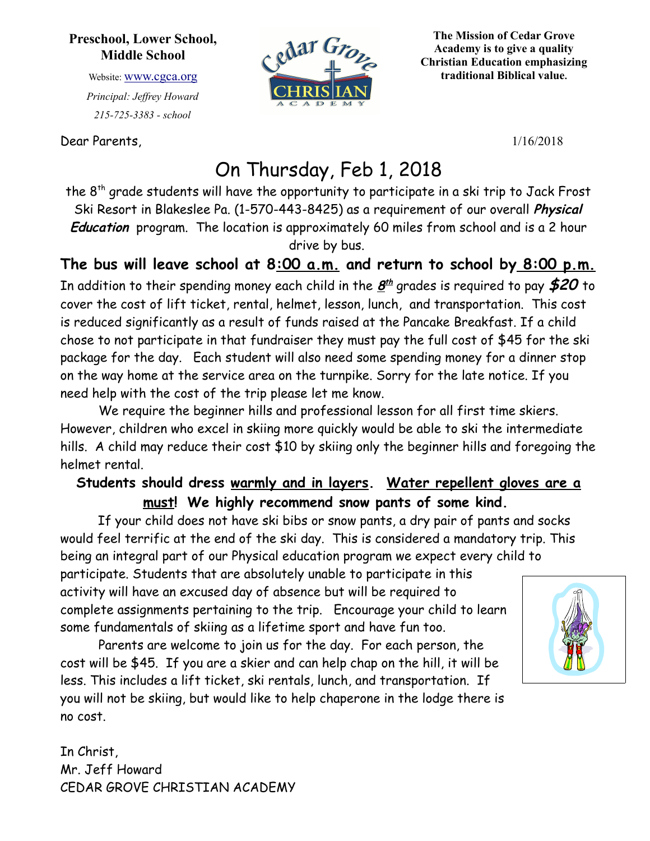## **Preschool, Lower School, Middle School**

Website: [www.cgca.org](http://www.cgca.org/) *Principal: Jeffrey Howard 215-725-3383 - school*

Dear Parents, 1/16/2018



**The Mission of Cedar Grove Academy is to give a quality Christian Education emphasizing traditional Biblical value.**

## On Thursday, Feb 1, 2018

the 8<sup>th</sup> grade students will have the opportunity to participate in a ski trip to Jack Frost Ski Resort in Blakeslee Pa. (1-570-443-8425) as a requirement of our overall **Physical Education** program. The location is approximately 60 miles from school and is a 2 hour drive by bus.

**The bus will leave school at 8:00 a.m. and return to school by 8:00 p.m.** In addition to their spending money each child in the **8 th** grades is required to pay **\$20** to cover the cost of lift ticket, rental, helmet, lesson, lunch, and transportation. This cost is reduced significantly as a result of funds raised at the Pancake Breakfast. If a child chose to not participate in that fundraiser they must pay the full cost of \$45 for the ski package for the day. Each student will also need some spending money for a dinner stop on the way home at the service area on the turnpike. Sorry for the late notice. If you need help with the cost of the trip please let me know.

We require the beginner hills and professional lesson for all first time skiers. However, children who excel in skiing more quickly would be able to ski the intermediate hills. A child may reduce their cost \$10 by skiing only the beginner hills and foregoing the helmet rental.

## **Students should dress warmly and in layers. Water repellent gloves are a must! We highly recommend snow pants of some kind.**

If your child does not have ski bibs or snow pants, a dry pair of pants and socks would feel terrific at the end of the ski day. This is considered a mandatory trip. This being an integral part of our Physical education program we expect every child to

participate. Students that are absolutely unable to participate in this activity will have an excused day of absence but will be required to complete assignments pertaining to the trip. Encourage your child to learn some fundamentals of skiing as a lifetime sport and have fun too.

Parents are welcome to join us for the day. For each person, the cost will be \$45. If you are a skier and can help chap on the hill, it will be less. This includes a lift ticket, ski rentals, lunch, and transportation. If you will not be skiing, but would like to help chaperone in the lodge there is no cost.

In Christ, Mr. Jeff Howard CEDAR GROVE CHRISTIAN ACADEMY